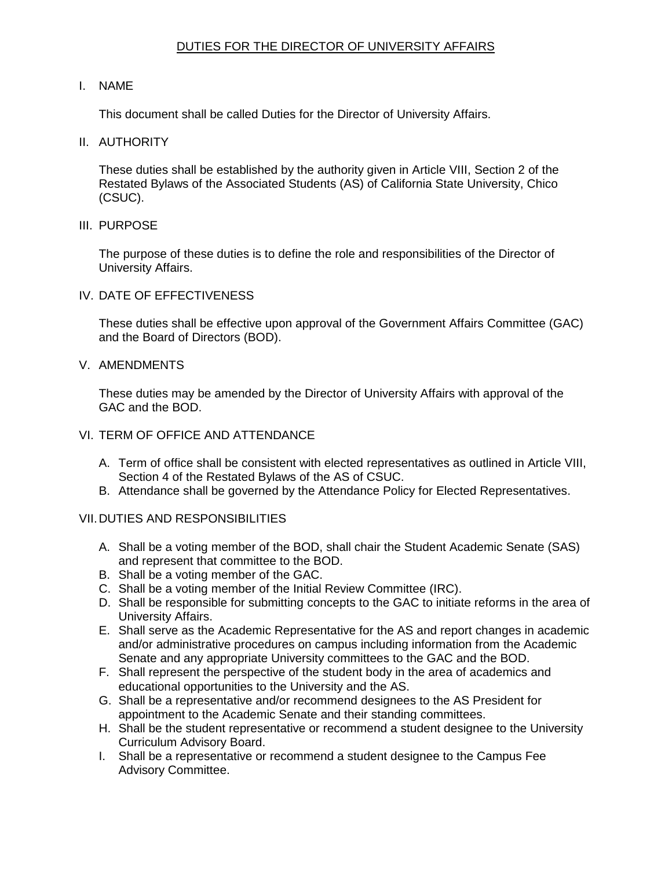## DUTIES FOR THE DIRECTOR OF UNIVERSITY AFFAIRS

## I. NAME

This document shall be called Duties for the Director of University Affairs.

II. AUTHORITY

 These duties shall be established by the authority given in Article VIII, Section 2 of the Restated Bylaws of the Associated Students (AS) of California State University, Chico (CSUC).

III. PURPOSE

 The purpose of these duties is to define the role and responsibilities of the Director of University Affairs.

IV. DATE OF EFFECTIVENESS

 These duties shall be effective upon approval of the Government Affairs Committee (GAC) and the Board of Directors (BOD).

V. AMENDMENTS

 These duties may be amended by the Director of University Affairs with approval of the GAC and the BOD.

- VI. TERM OF OFFICE AND ATTENDANCE
	- A. Term of office shall be consistent with elected representatives as outlined in Article VIII, Section 4 of the Restated Bylaws of the AS of CSUC.
	- B. Attendance shall be governed by the Attendance Policy for Elected Representatives.
- VII.DUTIES AND RESPONSIBILITIES
	- A. Shall be a voting member of the BOD, shall chair the Student Academic Senate (SAS) and represent that committee to the BOD.
	- B. Shall be a voting member of the GAC.
	- C. Shall be a voting member of the Initial Review Committee (IRC).
	- D. Shall be responsible for submitting concepts to the GAC to initiate reforms in the area of University Affairs.
	- E. Shall serve as the Academic Representative for the AS and report changes in academic and/or administrative procedures on campus including information from the Academic Senate and any appropriate University committees to the GAC and the BOD.
	- F. Shall represent the perspective of the student body in the area of academics and educational opportunities to the University and the AS.
	- G. Shall be a representative and/or recommend designees to the AS President for appointment to the Academic Senate and their standing committees.
	- H. Shall be the student representative or recommend a student designee to the University Curriculum Advisory Board.
	- I. Shall be a representative or recommend a student designee to the Campus Fee Advisory Committee.